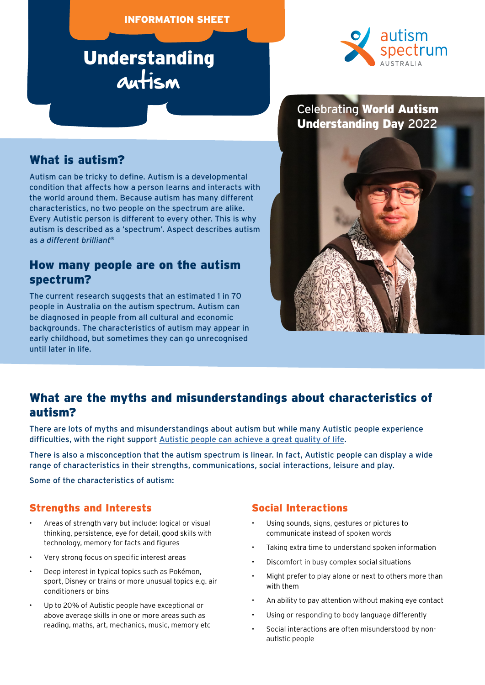#### INFORMATION SHEET

## Understanding autism



#### Celebrating World Autism Understanding Day 2022

#### What is autism?

Autism can be tricky to define. Autism is a developmental condition that affects how a person learns and interacts with the world around them. Because autism has many different characteristics, no two people on the spectrum are alike. Every Autistic person is different to every other. This is why autism is described as a 'spectrum'. Aspect describes autism as *a different brilliant*®

#### How many people are on the autism spectrum?

The current research suggests that an estimated 1 in 70 people in Australia on the autism spectrum. Autism can be diagnosed in people from all cultural and economic backgrounds. The characteristics of autism may appear in early childhood, but sometimes they can go unrecognised until later in life.



#### What are the myths and misunderstandings about characteristics of autism?

There are lots of myths and misunderstandings about autism but while many Autistic people experience difficulties, with the right support [Autistic people can achieve a great quality of life.](https://www.autismspectrum.org.au/about-autism/our-research/our-research-program/we-belong-and-we-belong-too)

There is also a misconception that the autism spectrum is linear. In fact, Autistic people can display a wide range of characteristics in their strengths, communications, social interactions, leisure and play.

Some of the characteristics of autism:

#### Strengths and Interests

- Areas of strength vary but include: logical or visual thinking, persistence, eye for detail, good skills with technology, memory for facts and figures
- Very strong focus on specific interest areas
- Deep interest in typical topics such as Pokémon, sport, Disney or trains or more unusual topics e.g. air conditioners or bins
- Up to 20% of Autistic people have exceptional or above average skills in one or more areas such as reading, maths, art, mechanics, music, memory etc

#### Social Interactions

- Using sounds, signs, gestures or pictures to communicate instead of spoken words
- Taking extra time to understand spoken information
- Discomfort in busy complex social situations
- Might prefer to play alone or next to others more than with them
- An ability to pay attention without making eye contact
- Using or responding to body language differently
- Social interactions are often misunderstood by nonautistic people